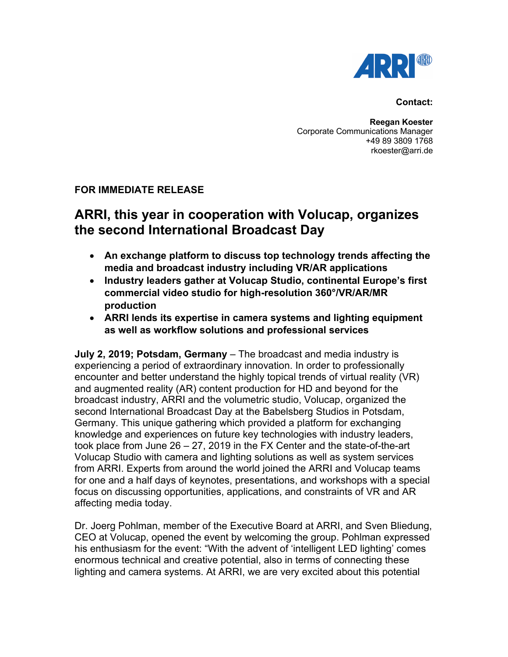

## **Contact:**

**Reegan Koester** Corporate Communications Manager +49 89 3809 1768 rkoester@arri.de

## **FOR IMMEDIATE RELEASE**

## **ARRI, this year in cooperation with Volucap, organizes the second International Broadcast Day**

- **An exchange platform to discuss top technology trends affecting the media and broadcast industry including VR/AR applications**
- **Industry leaders gather at Volucap Studio, continental Europe's first commercial video studio for high-resolution 360°/VR/AR/MR production**
- **ARRI lends its expertise in camera systems and lighting equipment as well as workflow solutions and professional services**

**July 2, 2019; Potsdam, Germany** – The broadcast and media industry is experiencing a period of extraordinary innovation. In order to professionally encounter and better understand the highly topical trends of virtual reality (VR) and augmented reality (AR) content production for HD and beyond for the broadcast industry, ARRI and the volumetric studio, Volucap, organized the second International Broadcast Day at the Babelsberg Studios in Potsdam, Germany. This unique gathering which provided a platform for exchanging knowledge and experiences on future key technologies with industry leaders, took place from June 26 – 27, 2019 in the FX Center and the state-of-the-art Volucap Studio with camera and lighting solutions as well as system services from ARRI. Experts from around the world joined the ARRI and Volucap teams for one and a half days of keynotes, presentations, and workshops with a special focus on discussing opportunities, applications, and constraints of VR and AR affecting media today.

Dr. Joerg Pohlman, member of the Executive Board at ARRI, and Sven Bliedung, CEO at Volucap, opened the event by welcoming the group. Pohlman expressed his enthusiasm for the event: "With the advent of 'intelligent LED lighting' comes enormous technical and creative potential, also in terms of connecting these lighting and camera systems. At ARRI, we are very excited about this potential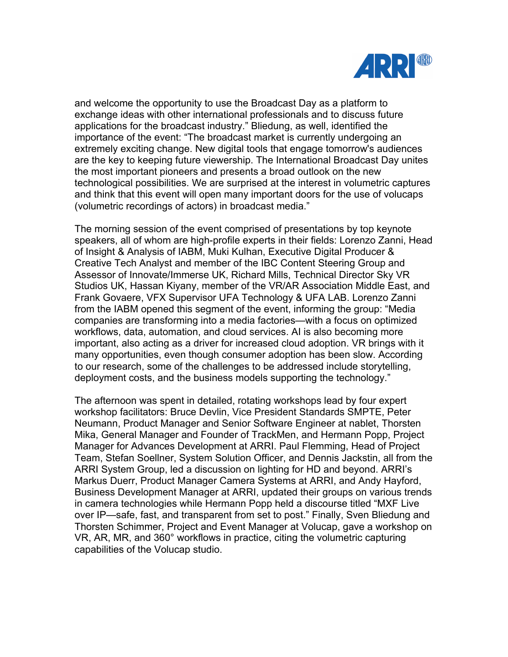

and welcome the opportunity to use the Broadcast Day as a platform to exchange ideas with other international professionals and to discuss future applications for the broadcast industry." Bliedung, as well, identified the importance of the event: "The broadcast market is currently undergoing an extremely exciting change. New digital tools that engage tomorrow's audiences are the key to keeping future viewership. The International Broadcast Day unites the most important pioneers and presents a broad outlook on the new technological possibilities. We are surprised at the interest in volumetric captures and think that this event will open many important doors for the use of volucaps (volumetric recordings of actors) in broadcast media."

The morning session of the event comprised of presentations by top keynote speakers, all of whom are high-profile experts in their fields: Lorenzo Zanni, Head of Insight & Analysis of IABM, Muki Kulhan, Executive Digital Producer & Creative Tech Analyst and member of the IBC Content Steering Group and Assessor of Innovate/Immerse UK, Richard Mills, Technical Director Sky VR Studios UK, Hassan Kiyany, member of the VR/AR Association Middle East, and Frank Govaere, VFX Supervisor UFA Technology & UFA LAB. Lorenzo Zanni from the IABM opened this segment of the event, informing the group: "Media companies are transforming into a media factories—with a focus on optimized workflows, data, automation, and cloud services. AI is also becoming more important, also acting as a driver for increased cloud adoption. VR brings with it many opportunities, even though consumer adoption has been slow. According to our research, some of the challenges to be addressed include storytelling, deployment costs, and the business models supporting the technology."

The afternoon was spent in detailed, rotating workshops lead by four expert workshop facilitators: Bruce Devlin, Vice President Standards SMPTE, Peter Neumann, Product Manager and Senior Software Engineer at nablet, Thorsten Mika, General Manager and Founder of TrackMen, and Hermann Popp, Project Manager for Advances Development at ARRI. Paul Flemming, Head of Project Team, Stefan Soellner, System Solution Officer, and Dennis Jackstin, all from the ARRI System Group, led a discussion on lighting for HD and beyond. ARRI's Markus Duerr, Product Manager Camera Systems at ARRI, and Andy Hayford, Business Development Manager at ARRI, updated their groups on various trends in camera technologies while Hermann Popp held a discourse titled "MXF Live over IP—safe, fast, and transparent from set to post." Finally, Sven Bliedung and Thorsten Schimmer, Project and Event Manager at Volucap, gave a workshop on VR, AR, MR, and 360° workflows in practice, citing the volumetric capturing capabilities of the Volucap studio.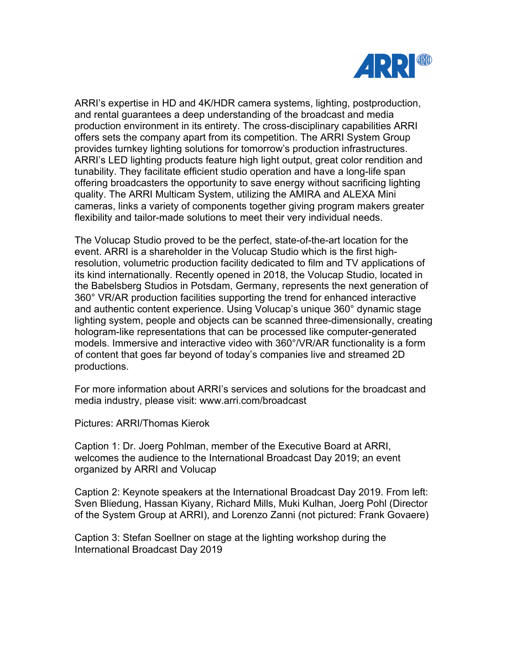

ARRI's expertise in HD and 4K/HDR camera systems, lighting, postproduction, and rental guarantees a deep understanding of the broadcast and media production environment in its entirety. The cross-disciplinary capabilities ARRI offers sets the company apart from its competition. The ARRI System Group provides turnkey lighting solutions for tomorrow's production infrastructures. ARRI's LED lighting products feature high light output, great color rendition and tunability. They facilitate efficient studio operation and have a long-life span offering broadcasters the opportunity to save energy without sacrificing lighting quality. The ARRI Multicam System, utilizing the AMIRA and ALEXA Mini cameras, links a variety of components together giving program makers greater flexibility and tailor-made solutions to meet their very individual needs.

The Volucap Studio proved to be the perfect, state-of-the-art location for the event. ARRI is a shareholder in the Volucap Studio which is the first highresolution, volumetric production facility dedicated to film and TV applications of its kind internationally. Recently opened in 2018, the Volucap Studio, located in the Babelsberg Studios in Potsdam, Germany, represents the next generation of 360° VR/AR production facilities supporting the trend for enhanced interactive and authentic content experience. Using Volucap's unique 360° dynamic stage lighting system, people and objects can be scanned three-dimensionally, creating hologram-like representations that can be processed like computer-generated models. Immersive and interactive video with 360°/VR/AR functionality is a form of content that goes far beyond of today's companies live and streamed 2D productions.

For more information about ARRI's services and solutions for the broadcast and media industry, please visit: www.arri.com/broadcast

Pictures: ARRI/Thomas Kierok

Caption 1: Dr. Joerg Pohlman, member of the Executive Board at ARRI, welcomes the audience to the International Broadcast Day 2019; an event organized by ARRI and Volucap

Caption 2: Keynote speakers at the International Broadcast Day 2019. From left: Sven Bliedung, Hassan Kiyany, Richard Mills, Muki Kulhan, Joerg Pohl (Director of the System Group at ARRI), and Lorenzo Zanni (not pictured: Frank Govaere)

Caption 3: Stefan Soellner on stage at the lighting workshop during the International Broadcast Day 2019